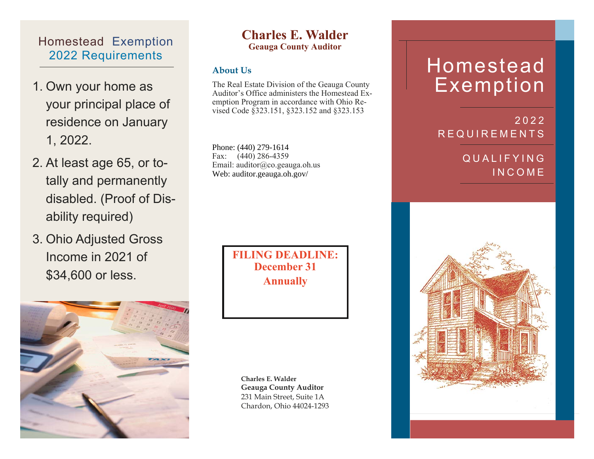### Homestead Exemption 2022 Requirements

- 1. Own your home as your principal place of residence on January 1, 2022.
- 2. At least age 65, or totally and permanently disabled. (Proof of Disability required)
- 3. Ohio Adjusted Gross Income in 2021 of \$34,600 or less.



#### **Charles E. Walder Geauga County Auditor**

#### **About Us**

The Real Estate Division of the Geauga County Auditor's Office administers the Homestead Exemption Program in accordance with Ohio Revised Code §323.151, §323.152 and §323.153

Phone: (440) 279-1604 Phone: (440) 279-1614Fax: (440) 286-4359 Email: auditor@co.geauga.oh.us Web: auditor.geauga.oh.gov/

> **FILING DEADLINE: December 31 Annually**

**Charles E. Walder Geauga County Auditor**  231 Main Street, Suite 1A Chardon, Ohio 44024-1293

# Homestead Exemption

#### 2022 REQUIREMENTS

### QUALIFYING INCOME